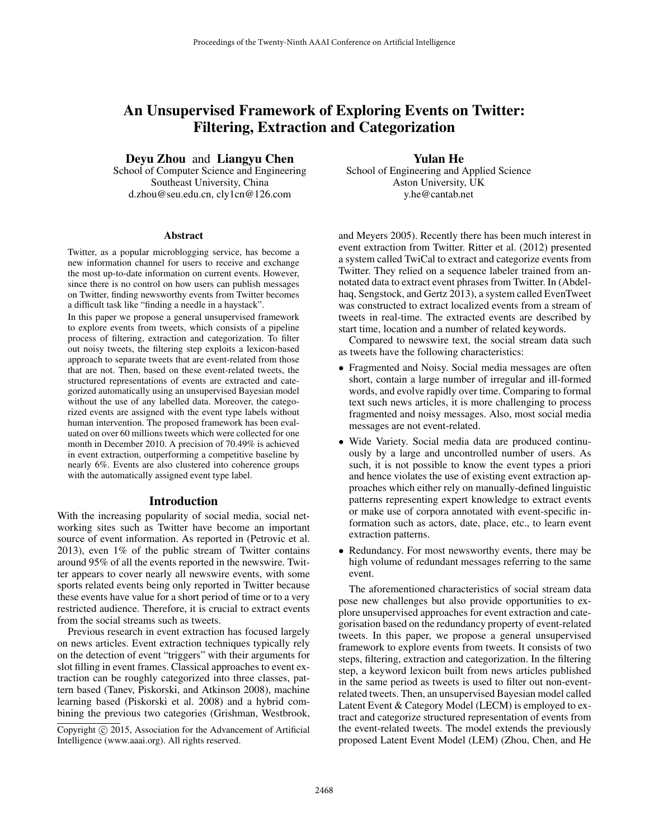# An Unsupervised Framework of Exploring Events on Twitter: Filtering, Extraction and Categorization

Deyu Zhou and Liangyu Chen

School of Computer Science and Engineering Southeast University, China d.zhou@seu.edu.cn, cly1cn@126.com

#### Abstract

Twitter, as a popular microblogging service, has become a new information channel for users to receive and exchange the most up-to-date information on current events. However, since there is no control on how users can publish messages on Twitter, finding newsworthy events from Twitter becomes a difficult task like "finding a needle in a haystack".

In this paper we propose a general unsupervised framework to explore events from tweets, which consists of a pipeline process of filtering, extraction and categorization. To filter out noisy tweets, the filtering step exploits a lexicon-based approach to separate tweets that are event-related from those that are not. Then, based on these event-related tweets, the structured representations of events are extracted and categorized automatically using an unsupervised Bayesian model without the use of any labelled data. Moreover, the categorized events are assigned with the event type labels without human intervention. The proposed framework has been evaluated on over 60 millions tweets which were collected for one month in December 2010. A precision of 70.49% is achieved in event extraction, outperforming a competitive baseline by nearly 6%. Events are also clustered into coherence groups with the automatically assigned event type label.

#### Introduction

With the increasing popularity of social media, social networking sites such as Twitter have become an important source of event information. As reported in (Petrovic et al. 2013), even 1% of the public stream of Twitter contains around 95% of all the events reported in the newswire. Twitter appears to cover nearly all newswire events, with some sports related events being only reported in Twitter because these events have value for a short period of time or to a very restricted audience. Therefore, it is crucial to extract events from the social streams such as tweets.

Previous research in event extraction has focused largely on news articles. Event extraction techniques typically rely on the detection of event "triggers" with their arguments for slot filling in event frames. Classical approaches to event extraction can be roughly categorized into three classes, pattern based (Tanev, Piskorski, and Atkinson 2008), machine learning based (Piskorski et al. 2008) and a hybrid combining the previous two categories (Grishman, Westbrook,

Yulan He

School of Engineering and Applied Science Aston University, UK y.he@cantab.net

and Meyers 2005). Recently there has been much interest in event extraction from Twitter. Ritter et al. (2012) presented a system called TwiCal to extract and categorize events from Twitter. They relied on a sequence labeler trained from annotated data to extract event phrases from Twitter. In (Abdelhaq, Sengstock, and Gertz 2013), a system called EvenTweet was constructed to extract localized events from a stream of tweets in real-time. The extracted events are described by start time, location and a number of related keywords.

Compared to newswire text, the social stream data such as tweets have the following characteristics:

- Fragmented and Noisy. Social media messages are often short, contain a large number of irregular and ill-formed words, and evolve rapidly over time. Comparing to formal text such news articles, it is more challenging to process fragmented and noisy messages. Also, most social media messages are not event-related.
- Wide Variety. Social media data are produced continuously by a large and uncontrolled number of users. As such, it is not possible to know the event types a priori and hence violates the use of existing event extraction approaches which either rely on manually-defined linguistic patterns representing expert knowledge to extract events or make use of corpora annotated with event-specific information such as actors, date, place, etc., to learn event extraction patterns.
- Redundancy. For most newsworthy events, there may be high volume of redundant messages referring to the same event.

The aforementioned characteristics of social stream data pose new challenges but also provide opportunities to explore unsupervised approaches for event extraction and categorisation based on the redundancy property of event-related tweets. In this paper, we propose a general unsupervised framework to explore events from tweets. It consists of two steps, filtering, extraction and categorization. In the filtering step, a keyword lexicon built from news articles published in the same period as tweets is used to filter out non-eventrelated tweets. Then, an unsupervised Bayesian model called Latent Event & Category Model (LECM) is employed to extract and categorize structured representation of events from the event-related tweets. The model extends the previously proposed Latent Event Model (LEM) (Zhou, Chen, and He

Copyright  $\odot$  2015, Association for the Advancement of Artificial Intelligence (www.aaai.org). All rights reserved.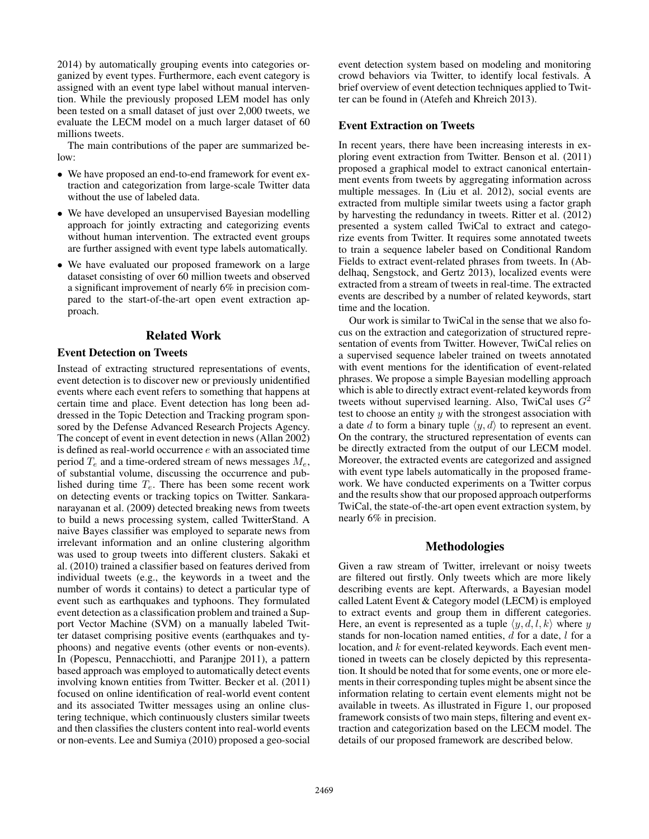2014) by automatically grouping events into categories organized by event types. Furthermore, each event category is assigned with an event type label without manual intervention. While the previously proposed LEM model has only been tested on a small dataset of just over 2,000 tweets, we evaluate the LECM model on a much larger dataset of 60 millions tweets.

The main contributions of the paper are summarized below:

- We have proposed an end-to-end framework for event extraction and categorization from large-scale Twitter data without the use of labeled data.
- We have developed an unsupervised Bayesian modelling approach for jointly extracting and categorizing events without human intervention. The extracted event groups are further assigned with event type labels automatically.
- We have evaluated our proposed framework on a large dataset consisting of over 60 million tweets and observed a significant improvement of nearly 6% in precision compared to the start-of-the-art open event extraction approach.

# Related Work

# Event Detection on Tweets

Instead of extracting structured representations of events, event detection is to discover new or previously unidentified events where each event refers to something that happens at certain time and place. Event detection has long been addressed in the Topic Detection and Tracking program sponsored by the Defense Advanced Research Projects Agency. The concept of event in event detection in news (Allan 2002) is defined as real-world occurrence e with an associated time period  $T_e$  and a time-ordered stream of news messages  $M_e$ , of substantial volume, discussing the occurrence and published during time  $T_e$ . There has been some recent work on detecting events or tracking topics on Twitter. Sankaranarayanan et al. (2009) detected breaking news from tweets to build a news processing system, called TwitterStand. A naive Bayes classifier was employed to separate news from irrelevant information and an online clustering algorithm was used to group tweets into different clusters. Sakaki et al. (2010) trained a classifier based on features derived from individual tweets (e.g., the keywords in a tweet and the number of words it contains) to detect a particular type of event such as earthquakes and typhoons. They formulated event detection as a classification problem and trained a Support Vector Machine (SVM) on a manually labeled Twitter dataset comprising positive events (earthquakes and typhoons) and negative events (other events or non-events). In (Popescu, Pennacchiotti, and Paranjpe 2011), a pattern based approach was employed to automatically detect events involving known entities from Twitter. Becker et al. (2011) focused on online identification of real-world event content and its associated Twitter messages using an online clustering technique, which continuously clusters similar tweets and then classifies the clusters content into real-world events or non-events. Lee and Sumiya (2010) proposed a geo-social

event detection system based on modeling and monitoring crowd behaviors via Twitter, to identify local festivals. A brief overview of event detection techniques applied to Twitter can be found in (Atefeh and Khreich 2013).

#### Event Extraction on Tweets

In recent years, there have been increasing interests in exploring event extraction from Twitter. Benson et al. (2011) proposed a graphical model to extract canonical entertainment events from tweets by aggregating information across multiple messages. In (Liu et al. 2012), social events are extracted from multiple similar tweets using a factor graph by harvesting the redundancy in tweets. Ritter et al. (2012) presented a system called TwiCal to extract and categorize events from Twitter. It requires some annotated tweets to train a sequence labeler based on Conditional Random Fields to extract event-related phrases from tweets. In (Abdelhaq, Sengstock, and Gertz 2013), localized events were extracted from a stream of tweets in real-time. The extracted events are described by a number of related keywords, start time and the location.

Our work is similar to TwiCal in the sense that we also focus on the extraction and categorization of structured representation of events from Twitter. However, TwiCal relies on a supervised sequence labeler trained on tweets annotated with event mentions for the identification of event-related phrases. We propose a simple Bayesian modelling approach which is able to directly extract event-related keywords from tweets without supervised learning. Also, TwiCal uses  $G<sup>2</sup>$ test to choose an entity  $y$  with the strongest association with a date d to form a binary tuple  $\langle y, d \rangle$  to represent an event. On the contrary, the structured representation of events can be directly extracted from the output of our LECM model. Moreover, the extracted events are categorized and assigned with event type labels automatically in the proposed framework. We have conducted experiments on a Twitter corpus and the results show that our proposed approach outperforms TwiCal, the state-of-the-art open event extraction system, by nearly 6% in precision.

# Methodologies

Given a raw stream of Twitter, irrelevant or noisy tweets are filtered out firstly. Only tweets which are more likely describing events are kept. Afterwards, a Bayesian model called Latent Event & Category model (LECM) is employed to extract events and group them in different categories. Here, an event is represented as a tuple  $\langle y, d, l, k \rangle$  where y stands for non-location named entities,  $d$  for a date,  $l$  for a location, and  $k$  for event-related keywords. Each event mentioned in tweets can be closely depicted by this representation. It should be noted that for some events, one or more elements in their corresponding tuples might be absent since the information relating to certain event elements might not be available in tweets. As illustrated in Figure 1, our proposed framework consists of two main steps, filtering and event extraction and categorization based on the LECM model. The details of our proposed framework are described below.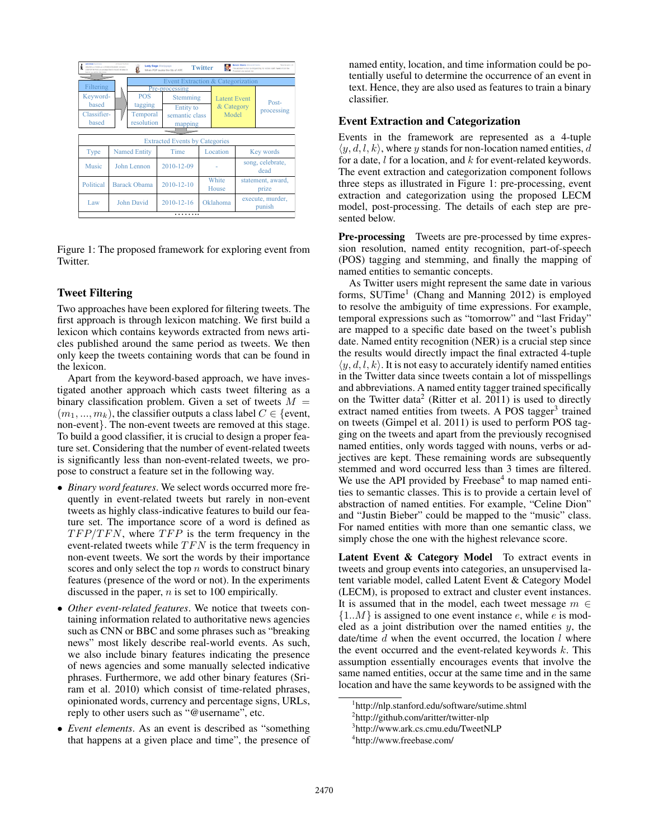| Judy Boby Controller<br>Al Arqued Tar World<br>Lady Gaga @ladygaga<br>Westington, D.<br>tack Obama (like sckChama<br><b>Twitter</b><br>BELIEVE IL 24 YEARS and a STORES SORO NATIO - STUKIONE<br>This account is run by Organizing for Action staff. Tweets from the<br>When POP sucks the tits of ART<br>LOST FOR THE FAILS, you are always there for me and I will always by<br>Bee by you WODELDST, Park |                     |                   |                       |          |                                   |                            |                     |
|-------------------------------------------------------------------------------------------------------------------------------------------------------------------------------------------------------------------------------------------------------------------------------------------------------------------------------------------------------------------------------------------------------------|---------------------|-------------------|-----------------------|----------|-----------------------------------|----------------------------|---------------------|
| Event Extraction & Categorization                                                                                                                                                                                                                                                                                                                                                                           |                     |                   |                       |          |                                   |                            |                     |
|                                                                                                                                                                                                                                                                                                                                                                                                             | Filtering           |                   | Pre-processing        |          |                                   |                            |                     |
| Keyword-                                                                                                                                                                                                                                                                                                                                                                                                    |                     | <b>POS</b>        | Stemming<br>Entity to |          | <b>Latent Event</b><br>& Category |                            | Post-<br>processing |
| based                                                                                                                                                                                                                                                                                                                                                                                                       |                     | tagging           |                       |          |                                   |                            |                     |
| Classifier-                                                                                                                                                                                                                                                                                                                                                                                                 |                     | Temporal          | semantic class        |          | Model                             |                            |                     |
| based                                                                                                                                                                                                                                                                                                                                                                                                       |                     | resolution        | mapping               |          |                                   |                            |                     |
|                                                                                                                                                                                                                                                                                                                                                                                                             |                     |                   |                       |          |                                   |                            |                     |
| <b>Extracted Events by Categories</b>                                                                                                                                                                                                                                                                                                                                                                       |                     |                   |                       |          |                                   |                            |                     |
| Type                                                                                                                                                                                                                                                                                                                                                                                                        | <b>Named Entity</b> |                   | Time                  |          | Location                          | Key words                  |                     |
| Music                                                                                                                                                                                                                                                                                                                                                                                                       | John Lennon         |                   | 2010-12-09            |          |                                   | song, celebrate,<br>dead   |                     |
| Political                                                                                                                                                                                                                                                                                                                                                                                                   | <b>Barack Obama</b> |                   | 2010-12-10            |          | White<br>House                    | statement, award,<br>prize |                     |
| Law                                                                                                                                                                                                                                                                                                                                                                                                         |                     | <b>John David</b> | 2010-12-16            | Oklahoma |                                   | execute, murder,<br>punish |                     |
| .                                                                                                                                                                                                                                                                                                                                                                                                           |                     |                   |                       |          |                                   |                            |                     |

Figure 1: The proposed framework for exploring event from **Twitter** 

#### Tweet Filtering

Two approaches have been explored for filtering tweets. The first approach is through lexicon matching. We first build a lexicon which contains keywords extracted from news articles published around the same period as tweets. We then only keep the tweets containing words that can be found in the lexicon.

Apart from the keyword-based approach, we have investigated another approach which casts tweet filtering as a binary classification problem. Given a set of tweets  $M =$  $(m_1, ..., m_k)$ , the classifier outputs a class label  $C \in \{$  event, non-event}. The non-event tweets are removed at this stage. To build a good classifier, it is crucial to design a proper feature set. Considering that the number of event-related tweets is significantly less than non-event-related tweets, we propose to construct a feature set in the following way.

- *Binary word features*. We select words occurred more frequently in event-related tweets but rarely in non-event tweets as highly class-indicative features to build our feature set. The importance score of a word is defined as  $TFP/TFN$ , where  $TFP$  is the term frequency in the event-related tweets while  $TFN$  is the term frequency in non-event tweets. We sort the words by their importance scores and only select the top  $n$  words to construct binary features (presence of the word or not). In the experiments discussed in the paper,  $n$  is set to 100 empirically.
- *Other event-related features*. We notice that tweets containing information related to authoritative news agencies such as CNN or BBC and some phrases such as "breaking news" most likely describe real-world events. As such, we also include binary features indicating the presence of news agencies and some manually selected indicative phrases. Furthermore, we add other binary features (Sriram et al. 2010) which consist of time-related phrases, opinionated words, currency and percentage signs, URLs, reply to other users such as "@username", etc.
- *Event elements*. As an event is described as "something that happens at a given place and time", the presence of

named entity, location, and time information could be potentially useful to determine the occurrence of an event in text. Hence, they are also used as features to train a binary classifier.

#### Event Extraction and Categorization

Events in the framework are represented as a 4-tuple  $\langle y, d, l, k \rangle$ , where y stands for non-location named entities, d for a date, l for a location, and k for event-related keywords. The event extraction and categorization component follows three steps as illustrated in Figure 1: pre-processing, event extraction and categorization using the proposed LECM model, post-processing. The details of each step are presented below.

Pre-processing Tweets are pre-processed by time expression resolution, named entity recognition, part-of-speech (POS) tagging and stemming, and finally the mapping of named entities to semantic concepts.

As Twitter users might represent the same date in various forms, SUTime<sup>1</sup> (Chang and Manning 2012) is employed to resolve the ambiguity of time expressions. For example, temporal expressions such as "tomorrow" and "last Friday" are mapped to a specific date based on the tweet's publish date. Named entity recognition (NER) is a crucial step since the results would directly impact the final extracted 4-tuple  $\langle y, d, l, k \rangle$ . It is not easy to accurately identify named entities in the Twitter data since tweets contain a lot of misspellings and abbreviations. A named entity tagger trained specifically on the Twitter data<sup>2</sup> (Ritter et al. 2011) is used to directly extract named entities from tweets. A POS tagger<sup>3</sup> trained on tweets (Gimpel et al. 2011) is used to perform POS tagging on the tweets and apart from the previously recognised named entities, only words tagged with nouns, verbs or adjectives are kept. These remaining words are subsequently stemmed and word occurred less than 3 times are filtered. We use the API provided by Freebase $4$  to map named entities to semantic classes. This is to provide a certain level of abstraction of named entities. For example, "Celine Dion" and "Justin Bieber" could be mapped to the "music" class. For named entities with more than one semantic class, we simply chose the one with the highest relevance score.

Latent Event & Category Model To extract events in tweets and group events into categories, an unsupervised latent variable model, called Latent Event & Category Model (LECM), is proposed to extract and cluster event instances. It is assumed that in the model, each tweet message  $m \in$  $\{1..M\}$  is assigned to one event instance e, while e is modeled as a joint distribution over the named entities  $y$ , the date/time  $d$  when the event occurred, the location  $l$  where the event occurred and the event-related keywords  $k$ . This assumption essentially encourages events that involve the same named entities, occur at the same time and in the same location and have the same keywords to be assigned with the

<sup>1</sup> http://nlp.stanford.edu/software/sutime.shtml

<sup>&</sup>lt;sup>2</sup>http://github.com/aritter/twitter-nlp

<sup>3</sup> http://www.ark.cs.cmu.edu/TweetNLP

<sup>4</sup> http://www.freebase.com/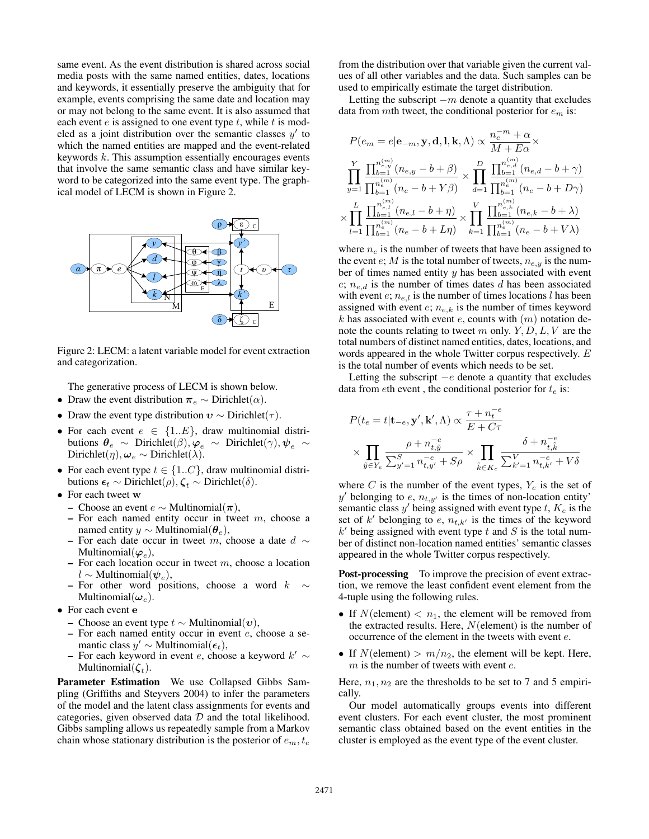same event. As the event distribution is shared across social media posts with the same named entities, dates, locations and keywords, it essentially preserve the ambiguity that for example, events comprising the same date and location may or may not belong to the same event. It is also assumed that each event  $e$  is assigned to one event type  $t$ , while  $t$  is modeled as a joint distribution over the semantic classes  $y'$  to which the named entities are mapped and the event-related keywords  $k$ . This assumption essentially encourages events that involve the same semantic class and have similar keyword to be categorized into the same event type. The graphical model of LECM is shown in Figure 2.



Figure 2: LECM: a latent variable model for event extraction and categorization.

The generative process of LECM is shown below.

- Draw the event distribution  $\pi_e \sim$  Dirichlet( $\alpha$ ).
- Draw the event type distribution  $v \sim$  Dirichlet( $\tau$ ).
- For each event  $e \in \{1..E\}$ , draw multinomial distributions  $\theta_e \sim$  Dirichlet $(\beta), \varphi_e \sim$  Dirichlet $(\gamma), \psi_e \sim$ Dirichlet( $\eta$ ),  $\omega_e \sim$  Dirichlet( $\lambda$ ).
- For each event type  $t \in \{1..C\}$ , draw multinomial distributions  $\epsilon_t \sim$  Dirichlet( $\rho$ ),  $\zeta_t \sim$  Dirichlet( $\delta$ ).
- For each tweet w
	- Choose an event e ∼ Multinomial(π),
	- $-$  For each named entity occur in tweet  $m$ , choose a named entity  $y \sim \text{Multinomial}(\boldsymbol{\theta}_e)$ ,
	- For each date occur in tweet m, choose a date  $d \sim$ Multinomial $(\varphi_e)$ ,
	- $-$  For each location occur in tweet m, choose a location  $l \sim$  Multinomial $(\psi_e)$ ,
	- For other word positions, choose a word  $k \sim$ Multinomial $(\omega_e)$ .
- For each event e
	- Choose an event type  $t$  ∼ Multinomial $(v)$ ,
	- $-$  For each named entity occur in event  $e$ , choose a semantic class  $y' \sim$  Multinomial $(\epsilon_t)$ ,
	- For each keyword in event e, choose a keyword  $k' \sim$ Multinomial $(\boldsymbol{\zeta}_t)$ .

Parameter Estimation We use Collapsed Gibbs Sampling (Griffiths and Steyvers 2004) to infer the parameters of the model and the latent class assignments for events and categories, given observed data  $D$  and the total likelihood. Gibbs sampling allows us repeatedly sample from a Markov chain whose stationary distribution is the posterior of  $e_m, t_e$ 

from the distribution over that variable given the current values of all other variables and the data. Such samples can be used to empirically estimate the target distribution.

Letting the subscript  $-m$  denote a quantity that excludes data from mth tweet, the conditional posterior for  $e_m$  is:

$$
\label{eq:1} \begin{split} &P(e_{m}=e|\mathbf{e}_{-m},\mathbf{y},\mathbf{d},\mathbf{l},\mathbf{k},\Lambda)\propto\frac{n_{e}^{-m}+\alpha}{M+E\alpha}\times\\ &\prod_{y=1}^{Y}\frac{\prod_{b=1}^{n_{e,y}^{(m)}}(n_{e,y}-b+\beta)}{\prod_{b=1}^{n_{e}^{(m)}}(n_{e}-b+Y\beta)}\times\prod_{d=1}^{D}\frac{\prod_{b=1}^{n_{e,d}^{(m)}}(n_{e,d}-b+\gamma)}{\prod_{b=1}^{n_{e}^{(m)}}(n_{e}-b+D\gamma)}\\ &\times\prod_{l=1}^{L}\frac{\prod_{b=1}^{n_{e,l}^{(m)}}(n_{e,l}-b+\eta)}{\prod_{b=1}^{n_{e}^{(m)}}(n_{e}-b+L\eta)}\times\prod_{k=1}^{V}\frac{\prod_{b=1}^{n_{e,k}^{(m)}}(n_{e,k}-b+\lambda)}{\prod_{b=1}^{n_{e}^{(m)}}(n_{e}-b+V\lambda)} \end{split}
$$

where  $n_e$  is the number of tweets that have been assigned to the event  $e$ ; M is the total number of tweets,  $n_{e,y}$  is the number of times named entity  $y$  has been associated with event  $e; n_{e,d}$  is the number of times dates d has been associated with event  $e$ ;  $n_{e,l}$  is the number of times locations l has been assigned with event  $e$ ;  $n_{e,k}$  is the number of times keyword  $k$  has associated with event  $e$ , counts with  $(m)$  notation denote the counts relating to tweet m only.  $Y, D, L, V$  are the total numbers of distinct named entities, dates, locations, and words appeared in the whole Twitter corpus respectively. E is the total number of events which needs to be set.

Letting the subscript  $-e$  denote a quantity that excludes data from eth event, the conditional posterior for  $t_e$  is:

$$
\begin{aligned} &P(t_e=t|\mathbf{t}_{-e},\mathbf{y}',\mathbf{k}',\Lambda)\propto\frac{\tau+n_t^{-e}}{E+C\tau}\\ &\times\prod_{\tilde{y}\in Y_e}\frac{\rho+n_{t,\tilde{y}}^{-e}}{\sum_{y'=1}^S n_{t,y'}^{-e}+S\rho}\times\prod_{\tilde{k}\in K_e}\frac{\delta+n_{t,\tilde{k}}^{-e}}{\sum_{k'=1}^V n_{t,k'}^{-e}+V\delta} \end{aligned}
$$

where C is the number of the event types,  $Y_e$  is the set of  $y'$  belonging to e,  $n_{t,y'}$  is the times of non-location entity' semantic class  $y'$  being assigned with event type  $t$ ,  $K_e$  is the set of  $k'$  belonging to  $e$ ,  $n_{t,k'}$  is the times of the keyword  $k'$  being assigned with event type  $t$  and  $S$  is the total number of distinct non-location named entities' semantic classes appeared in the whole Twitter corpus respectively.

**Post-processing** To improve the precision of event extraction, we remove the least confident event element from the 4-tuple using the following rules.

- If  $N$ (element)  $< n_1$ , the element will be removed from the extracted results. Here,  $N$ (element) is the number of occurrence of the element in the tweets with event e.
- If  $N$ (element) >  $m/n_2$ , the element will be kept. Here,  $m$  is the number of tweets with event  $e$ .

Here,  $n_1, n_2$  are the thresholds to be set to 7 and 5 empirically.

Our model automatically groups events into different event clusters. For each event cluster, the most prominent semantic class obtained based on the event entities in the cluster is employed as the event type of the event cluster.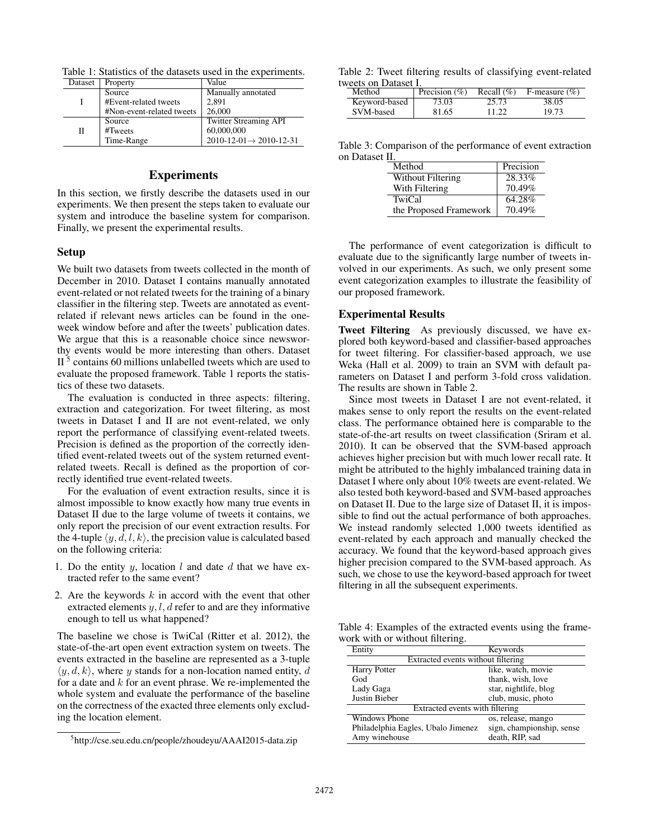Table 1: Statistics of the datasets used in the experiments.

| Dataset | Property                  | Value                                       |  |  |
|---------|---------------------------|---------------------------------------------|--|--|
|         | Source                    | Manually annotated                          |  |  |
|         | #Event-related tweets     | 2,891                                       |  |  |
|         | #Non-event-related tweets | 26,000                                      |  |  |
| П       | Source                    | <b>Twitter Streaming API</b>                |  |  |
|         | #Tweets                   | 60,000,000                                  |  |  |
|         | Time-Range                | $2010 - 12 - 01 \rightarrow 2010 - 12 - 31$ |  |  |

# **Experiments**

In this section, we firstly describe the datasets used in our experiments. We then present the steps taken to evaluate our system and introduce the baseline system for comparison. Finally, we present the experimental results.

#### Setup

We built two datasets from tweets collected in the month of December in 2010. Dataset I contains manually annotated event-related or not related tweets for the training of a binary classifier in the filtering step. Tweets are annotated as eventrelated if relevant news articles can be found in the oneweek window before and after the tweets' publication dates. We argue that this is a reasonable choice since newsworthy events would be more interesting than others. Dataset  $II<sup>5</sup>$  contains 60 millions unlabelled tweets which are used to evaluate the proposed framework. Table 1 reports the statistics of these two datasets.

The evaluation is conducted in three aspects: filtering, extraction and categorization. For tweet filtering, as most tweets in Dataset I and II are not event-related, we only report the performance of classifying event-related tweets. Precision is defined as the proportion of the correctly identified event-related tweets out of the system returned eventrelated tweets. Recall is defined as the proportion of correctly identified true event-related tweets.

For the evaluation of event extraction results, since it is almost impossible to know exactly how many true events in Dataset II due to the large volume of tweets it contains, we only report the precision of our event extraction results. For the 4-tuple  $\langle y, d, l, k \rangle$ , the precision value is calculated based on the following criteria:

- 1. Do the entity  $y$ , location l and date d that we have extracted refer to the same event?
- 2. Are the keywords  $k$  in accord with the event that other extracted elements  $y, l, d$  refer to and are they informative enough to tell us what happened?

The baseline we chose is TwiCal (Ritter et al. 2012), the state-of-the-art open event extraction system on tweets. The events extracted in the baseline are represented as a 3-tuple  $\langle y, d, k \rangle$ , where y stands for a non-location named entity, d for a date and  $k$  for an event phrase. We re-implemented the whole system and evaluate the performance of the baseline on the correctness of the exacted three elements only excluding the location element.

Table 2: Tweet filtering results of classifying event-related tweets on Dataset I.

| Method        | Precision $(\% )$ | Recall $(\%)$ | F-measure $(\% )$ |
|---------------|-------------------|---------------|-------------------|
| Keyword-based | 73.03             | 25.73         | 38.05             |
| SVM-based     | 81.65             | 11 22         | 19.73             |

Table 3: Comparison of the performance of event extraction on Dataset II.

| Method                 | Precision |
|------------------------|-----------|
| Without Filtering      | 28.33%    |
| With Filtering         | 70.49%    |
| TwiCal                 | 64.28%    |
| the Proposed Framework | 70.49%    |

The performance of event categorization is difficult to evaluate due to the significantly large number of tweets involved in our experiments. As such, we only present some event categorization examples to illustrate the feasibility of our proposed framework.

#### Experimental Results

Tweet Filtering As previously discussed, we have explored both keyword-based and classifier-based approaches for tweet filtering. For classifier-based approach, we use Weka (Hall et al. 2009) to train an SVM with default parameters on Dataset I and perform 3-fold cross validation. The results are shown in Table 2.

Since most tweets in Dataset I are not event-related, it makes sense to only report the results on the event-related class. The performance obtained here is comparable to the state-of-the-art results on tweet classification (Sriram et al. 2010). It can be observed that the SVM-based approach achieves higher precision but with much lower recall rate. It might be attributed to the highly imbalanced training data in Dataset I where only about 10% tweets are event-related. We also tested both keyword-based and SVM-based approaches on Dataset II. Due to the large size of Dataset II, it is impossible to find out the actual performance of both approaches. We instead randomly selected 1,000 tweets identified as event-related by each approach and manually checked the accuracy. We found that the keyword-based approach gives higher precision compared to the SVM-based approach. As such, we chose to use the keyword-based approach for tweet filtering in all the subsequent experiments.

Table 4: Examples of the extracted events using the framework with or without filtering.

| Entity                             | Keywords                  |  |  |
|------------------------------------|---------------------------|--|--|
| Extracted events without filtering |                           |  |  |
| <b>Harry Potter</b>                | like, watch, movie        |  |  |
| God                                | thank, wish, love         |  |  |
| Lady Gaga                          | star, nightlife, blog     |  |  |
| Justin Bieber                      | club, music, photo        |  |  |
| Extracted events with filtering    |                           |  |  |
| Windows Phone                      | os, release, mango        |  |  |
| Philadelphia Eagles, Ubalo Jimenez | sign, championship, sense |  |  |
| Amy winehouse                      | death, RIP, sad           |  |  |

<sup>5</sup> http://cse.seu.edu.cn/people/zhoudeyu/AAAI2015-data.zip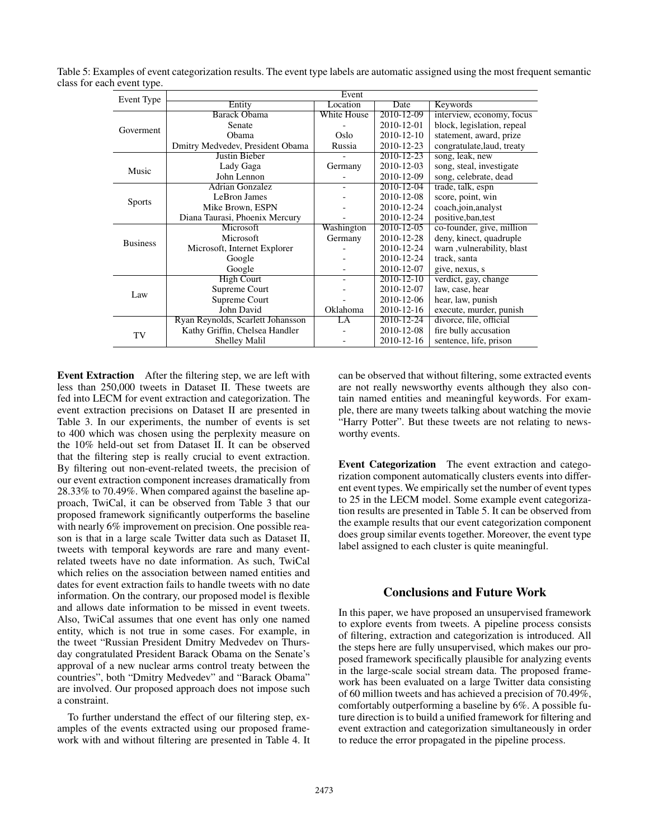| Event Type      | Event                             |                    |            |                             |  |  |
|-----------------|-----------------------------------|--------------------|------------|-----------------------------|--|--|
|                 | Entity                            | Location           | Date       | Keywords                    |  |  |
|                 | <b>Barack Obama</b>               | <b>White House</b> | 2010-12-09 | interview, economy, focus   |  |  |
| Goverment       | Senate                            |                    | 2010-12-01 | block, legislation, repeal  |  |  |
|                 | Obama                             | Oslo.              | 2010-12-10 | statement, award, prize     |  |  |
|                 | Dmitry Medvedev, President Obama  | Russia             | 2010-12-23 | congratulate, laud, treaty  |  |  |
|                 | <b>Justin Bieber</b>              |                    | 2010-12-23 | song, leak, new             |  |  |
| Music           | Lady Gaga                         | Germany            | 2010-12-03 | song, steal, investigate    |  |  |
|                 | John Lennon                       |                    | 2010-12-09 | song, celebrate, dead       |  |  |
|                 | <b>Adrian Gonzalez</b>            |                    | 2010-12-04 | trade, talk, espn           |  |  |
|                 | LeBron James                      |                    | 2010-12-08 | score, point, win           |  |  |
| <b>Sports</b>   | Mike Brown, ESPN                  |                    | 2010-12-24 | coach,join,analyst          |  |  |
|                 | Diana Taurasi, Phoenix Mercury    |                    | 2010-12-24 | positive, ban, test         |  |  |
|                 | Microsoft                         | Washington         | 2010-12-05 | co-founder, give, million   |  |  |
| <b>Business</b> | <b>Microsoft</b>                  | Germany            | 2010-12-28 | deny, kinect, quadruple     |  |  |
|                 | Microsoft, Internet Explorer      |                    | 2010-12-24 | warn , vulnerability, blast |  |  |
|                 | Google                            |                    | 2010-12-24 | track, santa                |  |  |
|                 | Google                            |                    | 2010-12-07 | give, nexus, s              |  |  |
|                 | <b>High Court</b>                 | ٠                  | 2010-12-10 | verdict, gay, change        |  |  |
| Law             | Supreme Court                     |                    | 2010-12-07 | law, case, hear             |  |  |
|                 | Supreme Court                     |                    | 2010-12-06 | hear, law, punish           |  |  |
|                 | John David                        | Oklahoma           | 2010-12-16 | execute, murder, punish     |  |  |
| TV              | Ryan Reynolds, Scarlett Johansson | LA                 | 2010-12-24 | divorce, file, official     |  |  |
|                 | Kathy Griffin, Chelsea Handler    |                    | 2010-12-08 | fire bully accusation       |  |  |
|                 | <b>Shelley Malil</b>              |                    | 2010-12-16 | sentence, life, prison      |  |  |

Table 5: Examples of event categorization results. The event type labels are automatic assigned using the most frequent semantic class for each event type.

Event Extraction After the filtering step, we are left with less than 250,000 tweets in Dataset II. These tweets are fed into LECM for event extraction and categorization. The event extraction precisions on Dataset II are presented in Table 3. In our experiments, the number of events is set to 400 which was chosen using the perplexity measure on the 10% held-out set from Dataset II. It can be observed that the filtering step is really crucial to event extraction. By filtering out non-event-related tweets, the precision of our event extraction component increases dramatically from 28.33% to 70.49%. When compared against the baseline approach, TwiCal, it can be observed from Table 3 that our proposed framework significantly outperforms the baseline with nearly 6% improvement on precision. One possible reason is that in a large scale Twitter data such as Dataset II, tweets with temporal keywords are rare and many eventrelated tweets have no date information. As such, TwiCal which relies on the association between named entities and dates for event extraction fails to handle tweets with no date information. On the contrary, our proposed model is flexible and allows date information to be missed in event tweets. Also, TwiCal assumes that one event has only one named entity, which is not true in some cases. For example, in the tweet "Russian President Dmitry Medvedev on Thursday congratulated President Barack Obama on the Senate's approval of a new nuclear arms control treaty between the countries", both "Dmitry Medvedev" and "Barack Obama" are involved. Our proposed approach does not impose such a constraint.

To further understand the effect of our filtering step, examples of the events extracted using our proposed framework with and without filtering are presented in Table 4. It can be observed that without filtering, some extracted events are not really newsworthy events although they also contain named entities and meaningful keywords. For example, there are many tweets talking about watching the movie "Harry Potter". But these tweets are not relating to newsworthy events.

Event Categorization The event extraction and categorization component automatically clusters events into different event types. We empirically set the number of event types to 25 in the LECM model. Some example event categorization results are presented in Table 5. It can be observed from the example results that our event categorization component does group similar events together. Moreover, the event type label assigned to each cluster is quite meaningful.

# Conclusions and Future Work

In this paper, we have proposed an unsupervised framework to explore events from tweets. A pipeline process consists of filtering, extraction and categorization is introduced. All the steps here are fully unsupervised, which makes our proposed framework specifically plausible for analyzing events in the large-scale social stream data. The proposed framework has been evaluated on a large Twitter data consisting of 60 million tweets and has achieved a precision of 70.49%, comfortably outperforming a baseline by 6%. A possible future direction is to build a unified framework for filtering and event extraction and categorization simultaneously in order to reduce the error propagated in the pipeline process.